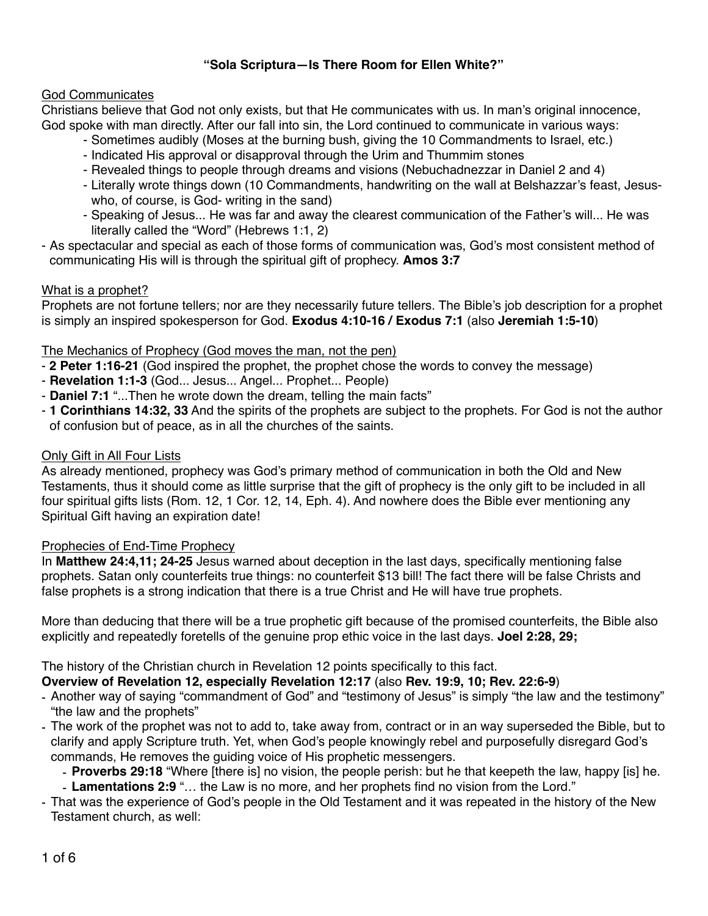# **"Sola Scriptura—Is There Room for Ellen White?"**

## God Communicates

Christians believe that God not only exists, but that He communicates with us. In man's original innocence, God spoke with man directly. After our fall into sin, the Lord continued to communicate in various ways:

- Sometimes audibly (Moses at the burning bush, giving the 10 Commandments to Israel, etc.)
- Indicated His approval or disapproval through the Urim and Thummim stones
- Revealed things to people through dreams and visions (Nebuchadnezzar in Daniel 2 and 4)
- Literally wrote things down (10 Commandments, handwriting on the wall at Belshazzar's feast, Jesuswho, of course, is God- writing in the sand)
- Speaking of Jesus... He was far and away the clearest communication of the Father's will... He was literally called the "Word" (Hebrews 1:1, 2)
- As spectacular and special as each of those forms of communication was, God's most consistent method of communicating His will is through the spiritual gift of prophecy. **Amos 3:7**

## What is a prophet?

Prophets are not fortune tellers; nor are they necessarily future tellers. The Bible's job description for a prophet is simply an inspired spokesperson for God. **Exodus 4:10-16 / Exodus 7:1** (also **Jeremiah 1:5-10**)

## The Mechanics of Prophecy (God moves the man, not the pen)

- **2 Peter 1:16-21** (God inspired the prophet, the prophet chose the words to convey the message)
- **Revelation 1:1-3** (God... Jesus... Angel... Prophet... People)
- **Daniel 7:1** "...Then he wrote down the dream, telling the main facts"
- **1 Corinthians 14:32, 33** And the spirits of the prophets are subject to the prophets. For God is not the author of confusion but of peace, as in all the churches of the saints.

### Only Gift in All Four Lists

As already mentioned, prophecy was God's primary method of communication in both the Old and New Testaments, thus it should come as little surprise that the gift of prophecy is the only gift to be included in all four spiritual gifts lists (Rom. 12, 1 Cor. 12, 14, Eph. 4). And nowhere does the Bible ever mentioning any Spiritual Gift having an expiration date!

## Prophecies of End-Time Prophecy

In **Matthew 24:4,11; 24-25** Jesus warned about deception in the last days, specifically mentioning false prophets. Satan only counterfeits true things: no counterfeit \$13 bill! The fact there will be false Christs and false prophets is a strong indication that there is a true Christ and He will have true prophets.

More than deducing that there will be a true prophetic gift because of the promised counterfeits, the Bible also explicitly and repeatedly foretells of the genuine prop ethic voice in the last days. **Joel 2:28, 29;**

The history of the Christian church in Revelation 12 points specifically to this fact.

**Overview of Revelation 12, especially Revelation 12:17** (also **Rev. 19:9, 10; Rev. 22:6-9**)

- Another way of saying "commandment of God" and "testimony of Jesus" is simply "the law and the testimony" "the law and the prophets"
- The work of the prophet was not to add to, take away from, contract or in an way superseded the Bible, but to clarify and apply Scripture truth. Yet, when God's people knowingly rebel and purposefully disregard God's commands, He removes the guiding voice of His prophetic messengers.
	- **Proverbs 29:18** "Where [there is] no vision, the people perish: but he that keepeth the law, happy [is] he.
	- **Lamentations 2:9** "… the Law is no more, and her prophets find no vision from the Lord."
- That was the experience of God's people in the Old Testament and it was repeated in the history of the New Testament church, as well: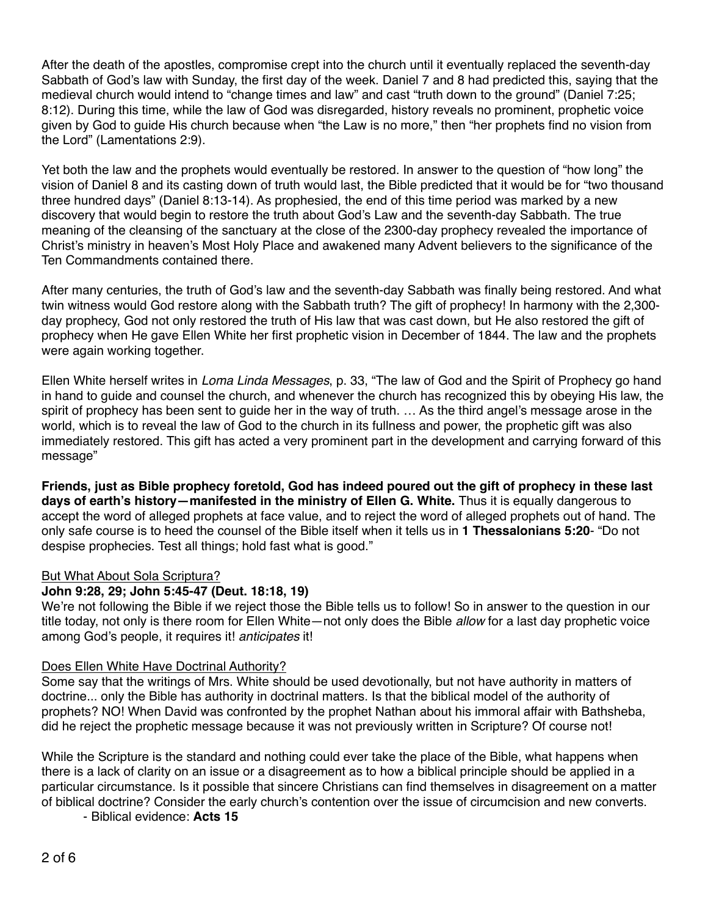After the death of the apostles, compromise crept into the church until it eventually replaced the seventh-day Sabbath of God's law with Sunday, the first day of the week. Daniel 7 and 8 had predicted this, saying that the medieval church would intend to "change times and law" and cast "truth down to the ground" (Daniel 7:25; 8:12). During this time, while the law of God was disregarded, history reveals no prominent, prophetic voice given by God to guide His church because when "the Law is no more," then "her prophets find no vision from the Lord" (Lamentations 2:9).

Yet both the law and the prophets would eventually be restored. In answer to the question of "how long" the vision of Daniel 8 and its casting down of truth would last, the Bible predicted that it would be for "two thousand three hundred days" (Daniel 8:13-14). As prophesied, the end of this time period was marked by a new discovery that would begin to restore the truth about God's Law and the seventh-day Sabbath. The true meaning of the cleansing of the sanctuary at the close of the 2300-day prophecy revealed the importance of Christ's ministry in heaven's Most Holy Place and awakened many Advent believers to the significance of the Ten Commandments contained there.

After many centuries, the truth of God's law and the seventh-day Sabbath was finally being restored. And what twin witness would God restore along with the Sabbath truth? The gift of prophecy! In harmony with the 2,300 day prophecy, God not only restored the truth of His law that was cast down, but He also restored the gift of prophecy when He gave Ellen White her first prophetic vision in December of 1844. The law and the prophets were again working together.

Ellen White herself writes in *Loma Linda Messages*, p. 33, "The law of God and the Spirit of Prophecy go hand in hand to guide and counsel the church, and whenever the church has recognized this by obeying His law, the spirit of prophecy has been sent to guide her in the way of truth. … As the third angel's message arose in the world, which is to reveal the law of God to the church in its fullness and power, the prophetic gift was also immediately restored. This gift has acted a very prominent part in the development and carrying forward of this message"

**Friends, just as Bible prophecy foretold, God has indeed poured out the gift of prophecy in these last days of earth's history—manifested in the ministry of Ellen G. White.** Thus it is equally dangerous to accept the word of alleged prophets at face value, and to reject the word of alleged prophets out of hand. The only safe course is to heed the counsel of the Bible itself when it tells us in **1 Thessalonians 5:20**- "Do not despise prophecies. Test all things; hold fast what is good."

# But What About Sola Scriptura?

# **John 9:28, 29; John 5:45-47 (Deut. 18:18, 19)**

We're not following the Bible if we reject those the Bible tells us to follow! So in answer to the question in our title today, not only is there room for Ellen White—not only does the Bible *allow* for a last day prophetic voice among God's people, it requires it! *anticipates* it!

# Does Ellen White Have Doctrinal Authority?

Some say that the writings of Mrs. White should be used devotionally, but not have authority in matters of doctrine... only the Bible has authority in doctrinal matters. Is that the biblical model of the authority of prophets? NO! When David was confronted by the prophet Nathan about his immoral affair with Bathsheba, did he reject the prophetic message because it was not previously written in Scripture? Of course not!

While the Scripture is the standard and nothing could ever take the place of the Bible, what happens when there is a lack of clarity on an issue or a disagreement as to how a biblical principle should be applied in a particular circumstance. Is it possible that sincere Christians can find themselves in disagreement on a matter of biblical doctrine? Consider the early church's contention over the issue of circumcision and new converts.

- Biblical evidence: **Acts 15**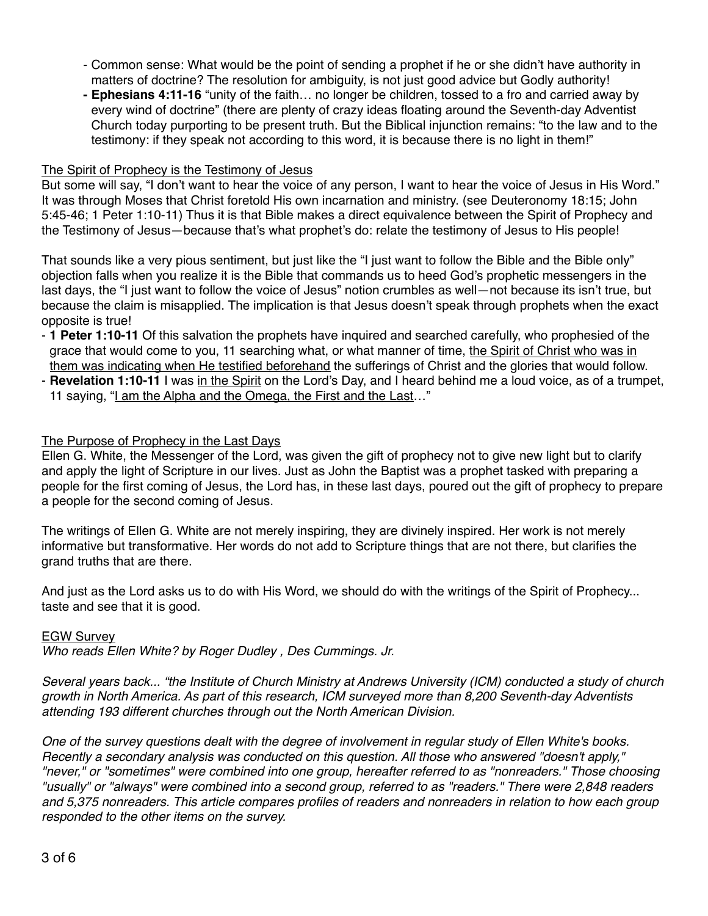- Common sense: What would be the point of sending a prophet if he or she didn't have authority in matters of doctrine? The resolution for ambiguity, is not just good advice but Godly authority!
- **- Ephesians 4:11-16** "unity of the faith… no longer be children, tossed to a fro and carried away by every wind of doctrine" (there are plenty of crazy ideas floating around the Seventh-day Adventist Church today purporting to be present truth. But the Biblical injunction remains: "to the law and to the testimony: if they speak not according to this word, it is because there is no light in them!"

### The Spirit of Prophecy is the Testimony of Jesus

But some will say, "I don't want to hear the voice of any person, I want to hear the voice of Jesus in His Word." It was through Moses that Christ foretold His own incarnation and ministry. (see Deuteronomy 18:15; John 5:45-46; 1 Peter 1:10-11) Thus it is that Bible makes a direct equivalence between the Spirit of Prophecy and the Testimony of Jesus—because that's what prophet's do: relate the testimony of Jesus to His people!

That sounds like a very pious sentiment, but just like the "I just want to follow the Bible and the Bible only" objection falls when you realize it is the Bible that commands us to heed God's prophetic messengers in the last days, the "I just want to follow the voice of Jesus" notion crumbles as well—not because its isn't true, but because the claim is misapplied. The implication is that Jesus doesn't speak through prophets when the exact opposite is true!

- **1 Peter 1:10-11** Of this salvation the prophets have inquired and searched carefully, who prophesied of the grace that would come to you, 11 searching what, or what manner of time, the Spirit of Christ who was in them was indicating when He testified beforehand the sufferings of Christ and the glories that would follow.
- **Revelation 1:10-11** I was in the Spirit on the Lord's Day, and I heard behind me a loud voice, as of a trumpet, 11 saying, "I am the Alpha and the Omega, the First and the Last…"

### The Purpose of Prophecy in the Last Days

Ellen G. White, the Messenger of the Lord, was given the gift of prophecy not to give new light but to clarify and apply the light of Scripture in our lives. Just as John the Baptist was a prophet tasked with preparing a people for the first coming of Jesus, the Lord has, in these last days, poured out the gift of prophecy to prepare a people for the second coming of Jesus.

The writings of Ellen G. White are not merely inspiring, they are divinely inspired. Her work is not merely informative but transformative. Her words do not add to Scripture things that are not there, but clarifies the grand truths that are there.

And just as the Lord asks us to do with His Word, we should do with the writings of the Spirit of Prophecy... taste and see that it is good.

#### EGW Survey

*Who reads Ellen White? by [Roger Dudley](https://www.ministrymagazine.org/authors/dudley-roger.html) , [Des Cummings. Jr.](https://www.ministrymagazine.org/authors/cummings,-jr.,-des)*

*Several years back... "the Institute of Church Ministry at Andrews University (ICM) conducted a study of church growth in North America. As part of this research, ICM surveyed more than 8,200 Seventh-day Adventists attending 193 different churches through out the North American Division.*

*One of the survey questions dealt with the degree of involvement in regular study of Ellen White's books. Recently a secondary analysis was conducted on this question. All those who answered "doesn't apply," "never," or "sometimes" were combined into one group, hereafter referred to as "nonreaders." Those choosing "usually" or "always" were combined into a second group, referred to as "readers." There were 2,848 readers and 5,375 nonreaders. This article compares profiles of readers and nonreaders in relation to how each group responded to the other items on the survey.*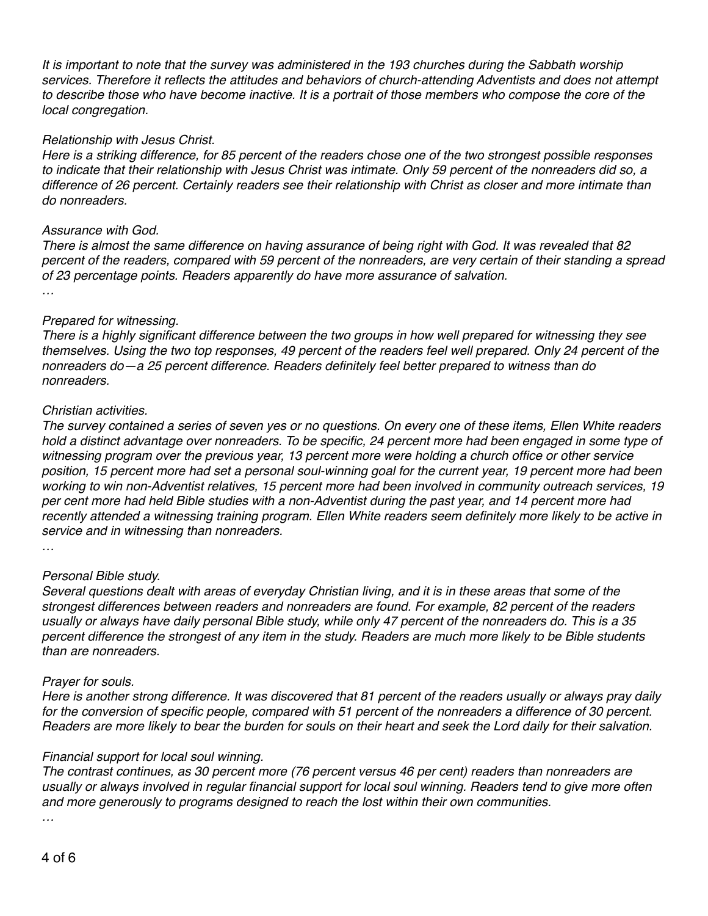*It is important to note that the survey was administered in the 193 churches during the Sabbath worship services. Therefore it reflects the attitudes and behaviors of church-attending Adventists and does not attempt to describe those who have become inactive. It is a portrait of those members who compose the core of the local congregation.*

### *Relationship with Jesus Christ.*

*Here is a striking difference, for 85 percent of the readers chose one of the two strongest possible responses to indicate that their relationship with Jesus Christ was intimate. Only 59 percent of the nonreaders did so, a difference of 26 percent. Certainly readers see their relationship with Christ as closer and more intimate than do nonreaders.*

#### *Assurance with God.*

*There is almost the same difference on having assurance of being right with God. It was revealed that 82 percent of the readers, compared with 59 percent of the nonreaders, are very certain of their standing a spread of 23 percentage points. Readers apparently do have more assurance of salvation. …* 

### *Prepared for witnessing.*

*There is a highly significant difference between the two groups in how well prepared for witnessing they see themselves. Using the two top responses, 49 percent of the readers feel well prepared. Only 24 percent of the nonreaders do—a 25 percent difference. Readers definitely feel better prepared to witness than do nonreaders.*

#### *Christian activities.*

*The survey contained a series of seven yes or no questions. On every one of these items, Ellen White readers hold a distinct advantage over nonreaders. To be specific, 24 percent more had been engaged in some type of witnessing program over the previous year, 13 percent more were holding a church office or other service position, 15 percent more had set a personal soul-winning goal for the current year, 19 percent more had been working to win non-Adventist relatives, 15 percent more had been involved in community outreach services, 19*  per cent more had held Bible studies with a non-Adventist during the past year, and 14 percent more had *recently attended a witnessing training program. Ellen White readers seem definitely more likely to be active in service and in witnessing than nonreaders.*

*…* 

## *Personal Bible study.*

*Several questions dealt with areas of everyday Christian living, and it is in these areas that some of the strongest differences between readers and nonreaders are found. For example, 82 percent of the readers usually or always have daily personal Bible study, while only 47 percent of the nonreaders do. This is a 35 percent difference the strongest of any item in the study. Readers are much more likely to be Bible students than are nonreaders.*

#### *Prayer for souls.*

*Here is another strong difference. It was discovered that 81 percent of the readers usually or always pray daily*  for the conversion of specific people, compared with 51 percent of the nonreaders a difference of 30 percent. *Readers are more likely to bear the burden for souls on their heart and seek the Lord daily for their salvation.*

#### *Financial support for local soul winning.*

*The contrast continues, as 30 percent more (76 percent versus 46 per cent) readers than nonreaders are usually or always involved in regular financial support for local soul winning. Readers tend to give more often and more generously to programs designed to reach the lost within their own communities.*

*…*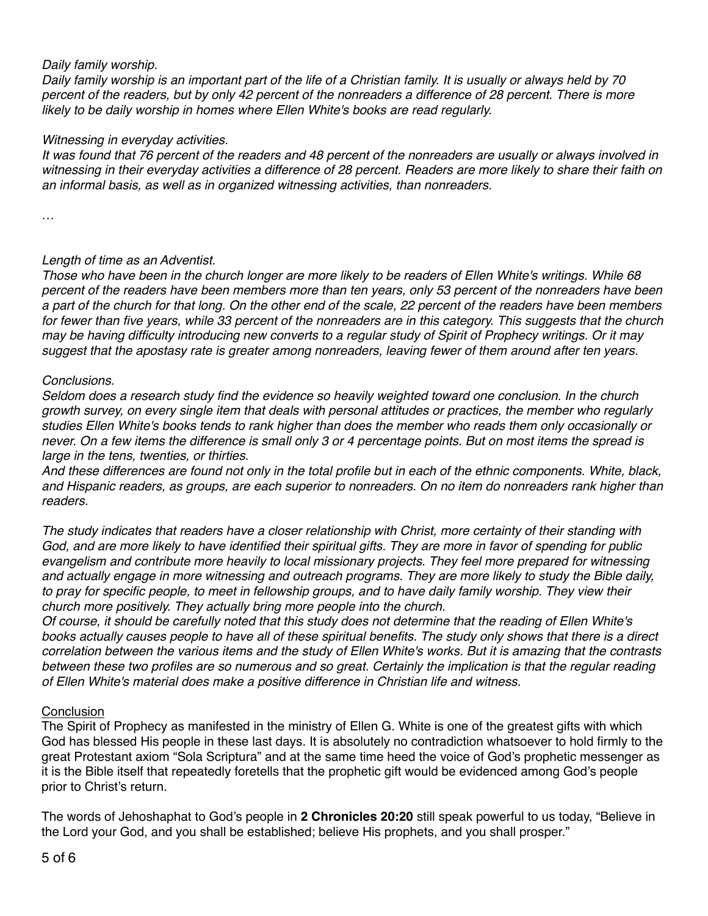## *Daily family worship.*

*Daily family worship is an important part of the life of a Christian family. It is usually or always held by 70 percent of the readers, but by only 42 percent of the nonreaders a difference of 28 percent. There is more likely to be daily worship in homes where Ellen White's books are read regularly.*

## *Witnessing in everyday activities.*

*It was found that 76 percent of the readers and 48 percent of the nonreaders are usually or always involved in*  witnessing in their everyday activities a difference of 28 percent. Readers are more likely to share their faith on *an informal basis, as well as in organized witnessing activities, than nonreaders.*

*…*

# *Length of time as an Adventist.*

*Those who have been in the church longer are more likely to be readers of Ellen White's writings. While 68 percent of the readers have been members more than ten years, only 53 percent of the nonreaders have been a part of the church for that long. On the other end of the scale, 22 percent of the readers have been members for fewer than five years, while 33 percent of the nonreaders are in this category. This suggests that the church may be having difficulty introducing new converts to a regular study of Spirit of Prophecy writings. Or it may suggest that the apostasy rate is greater among nonreaders, leaving fewer of them around after ten years.*

## *Conclusions.*

*Seldom does a research study find the evidence so heavily weighted toward one conclusion. In the church growth survey, on every single item that deals with personal attitudes or practices, the member who regularly studies Ellen White's books tends to rank higher than does the member who reads them only occasionally or never. On a few items the difference is small only 3 or 4 percentage points. But on most items the spread is large in the tens, twenties, or thirties.*

*And these differences are found not only in the total profile but in each of the ethnic components. White, black, and Hispanic readers, as groups, are each superior to nonreaders. On no item do nonreaders rank higher than readers.*

*The study indicates that readers have a closer relationship with Christ, more certainty of their standing with God, and are more likely to have identified their spiritual gifts. They are more in favor of spending for public evangelism and contribute more heavily to local missionary projects. They feel more prepared for witnessing and actually engage in more witnessing and outreach programs. They are more likely to study the Bible daily,*  to pray for specific people, to meet in fellowship groups, and to have daily family worship. They view their *church more positively. They actually bring more people into the church.*

*Of course, it should be carefully noted that this study does not determine that the reading of Ellen White's books actually causes people to have all of these spiritual benefits. The study only shows that there is a direct correlation between the various items and the study of Ellen White's works. But it is amazing that the contrasts*  between these two profiles are so numerous and so great. Certainly the implication is that the regular reading *of Ellen White's material does make a positive difference in Christian life and witness.*

## **Conclusion**

The Spirit of Prophecy as manifested in the ministry of Ellen G. White is one of the greatest gifts with which God has blessed His people in these last days. It is absolutely no contradiction whatsoever to hold firmly to the great Protestant axiom "Sola Scriptura" and at the same time heed the voice of God's prophetic messenger as it is the Bible itself that repeatedly foretells that the prophetic gift would be evidenced among God's people prior to Christ's return.

The words of Jehoshaphat to God's people in **2 Chronicles 20:20** still speak powerful to us today, "Believe in the Lord your God, and you shall be established; believe His prophets, and you shall prosper."